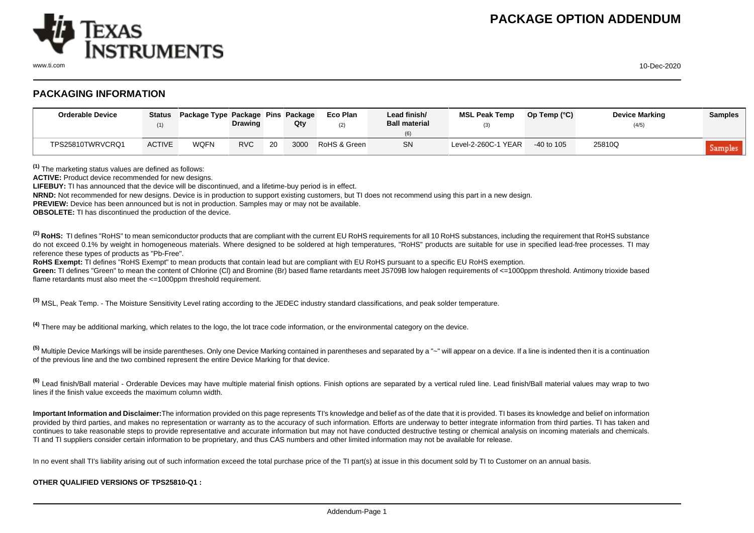

www.ti.com 10-Dec-2020

## **PACKAGING INFORMATION**

| <b>Orderable Device</b> | (1)           | Status Package Type Package Pins Package | <b>Drawing</b> |    | Qty  | Eco Plan<br>(2) | Lead finish/<br><b>Ball material</b> | <b>MSL Peak Temp</b> | Op Temp $(^{\circ}C)$ | <b>Device Marking</b><br>(4/5) | <b>Samples</b> |
|-------------------------|---------------|------------------------------------------|----------------|----|------|-----------------|--------------------------------------|----------------------|-----------------------|--------------------------------|----------------|
| TPS25810TWRVCRQ1        | <b>ACTIVE</b> | WOFN                                     | <b>RVC</b>     | 20 | 3000 | RoHS & Green    | <b>SN</b>                            | Level-2-260C-1 YEAR  | $-40$ to 105          | 25810Q                         | Samples        |

**(1)** The marketing status values are defined as follows:

**ACTIVE:** Product device recommended for new designs.

**LIFEBUY:** TI has announced that the device will be discontinued, and a lifetime-buy period is in effect.

**NRND:** Not recommended for new designs. Device is in production to support existing customers, but TI does not recommend using this part in a new design.

**PREVIEW:** Device has been announced but is not in production. Samples may or may not be available.

**OBSOLETE:** TI has discontinued the production of the device.

<sup>(2)</sup> RoHS: TI defines "RoHS" to mean semiconductor products that are compliant with the current EU RoHS requirements for all 10 RoHS substances, including the requirement that RoHS substance do not exceed 0.1% by weight in homogeneous materials. Where designed to be soldered at high temperatures. "RoHS" products are suitable for use in specified lead-free processes. TI may reference these types of products as "Pb-Free".

RoHS Exempt: TI defines "RoHS Exempt" to mean products that contain lead but are compliant with EU RoHS pursuant to a specific EU RoHS exemption.

Green: TI defines "Green" to mean the content of Chlorine (CI) and Bromine (Br) based flame retardants meet JS709B low halogen requirements of <=1000ppm threshold. Antimony trioxide based flame retardants must also meet the <=1000ppm threshold requirement.

**(3)** MSL, Peak Temp. - The Moisture Sensitivity Level rating according to the JEDEC industry standard classifications, and peak solder temperature.

**(4)** There may be additional marking, which relates to the logo, the lot trace code information, or the environmental category on the device.

**(5)** Multiple Device Markings will be inside parentheses. Only one Device Marking contained in parentheses and separated by a "~" will appear on a device. If a line is indented then it is a continuation of the previous line and the two combined represent the entire Device Marking for that device.

**(6)** Lead finish/Ball material - Orderable Devices may have multiple material finish options. Finish options are separated by a vertical ruled line. Lead finish/Ball material values may wrap to two lines if the finish value exceeds the maximum column width.

**Important Information and Disclaimer:**The information provided on this page represents TI's knowledge and belief as of the date that it is provided. TI bases its knowledge and belief on information provided by third parties, and makes no representation or warranty as to the accuracy of such information. Efforts are underway to better integrate information from third parties. TI has taken and continues to take reasonable steps to provide representative and accurate information but may not have conducted destructive testing or chemical analysis on incoming materials and chemicals. TI and TI suppliers consider certain information to be proprietary, and thus CAS numbers and other limited information may not be available for release.

In no event shall TI's liability arising out of such information exceed the total purchase price of the TI part(s) at issue in this document sold by TI to Customer on an annual basis.

## **OTHER QUALIFIED VERSIONS OF TPS25810-Q1 :**